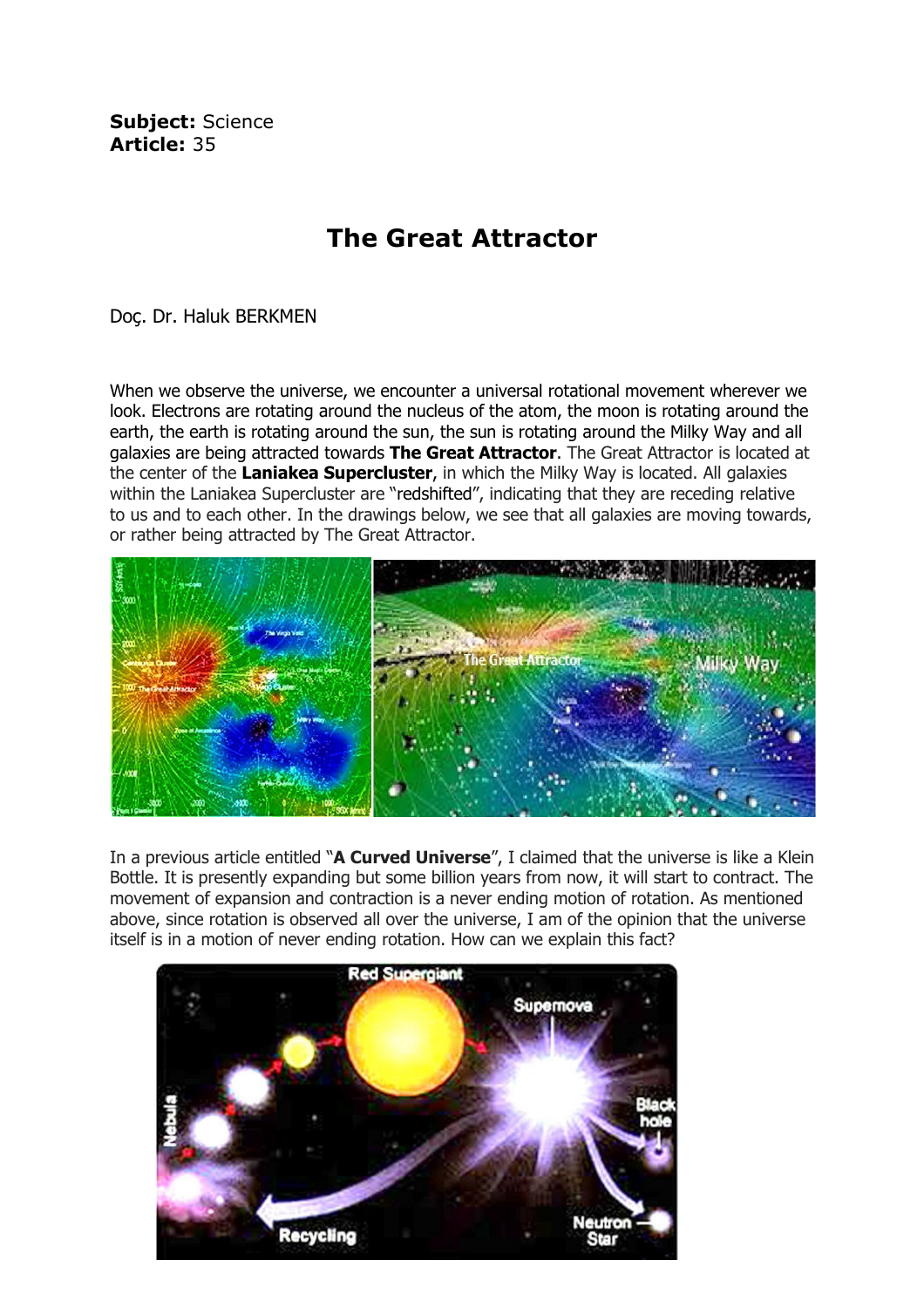Subject: Science Article: 35

## The Great Attractor

Doç. Dr. Haluk BERKMEN

When we observe the universe, we encounter a universal rotational movement wherever we look. Electrons are rotating around the nucleus of the atom, the moon is rotating around the earth, the earth is rotating around the sun, the sun is rotating around the Milky Way and all galaxies are being attracted towards The Great Attractor. The Great Attractor is located at the center of the Laniakea Supercluster, in which the Milky Way is located. All galaxies within the Laniakea Supercluster are "redshifted", indicating that they are receding relative to us and to each other. In the drawings below, we see that all galaxies are moving towards, or rather being attracted by The Great Attractor.



In a previous article entitled "A Curved Universe", I claimed that the universe is like a Klein Bottle. It is presently expanding but some billion years from now, it will start to contract. The movement of expansion and contraction is a never ending motion of rotation. As mentioned above, since rotation is observed all over the universe, I am of the opinion that the universe itself is in a motion of never ending rotation. How can we explain this fact?